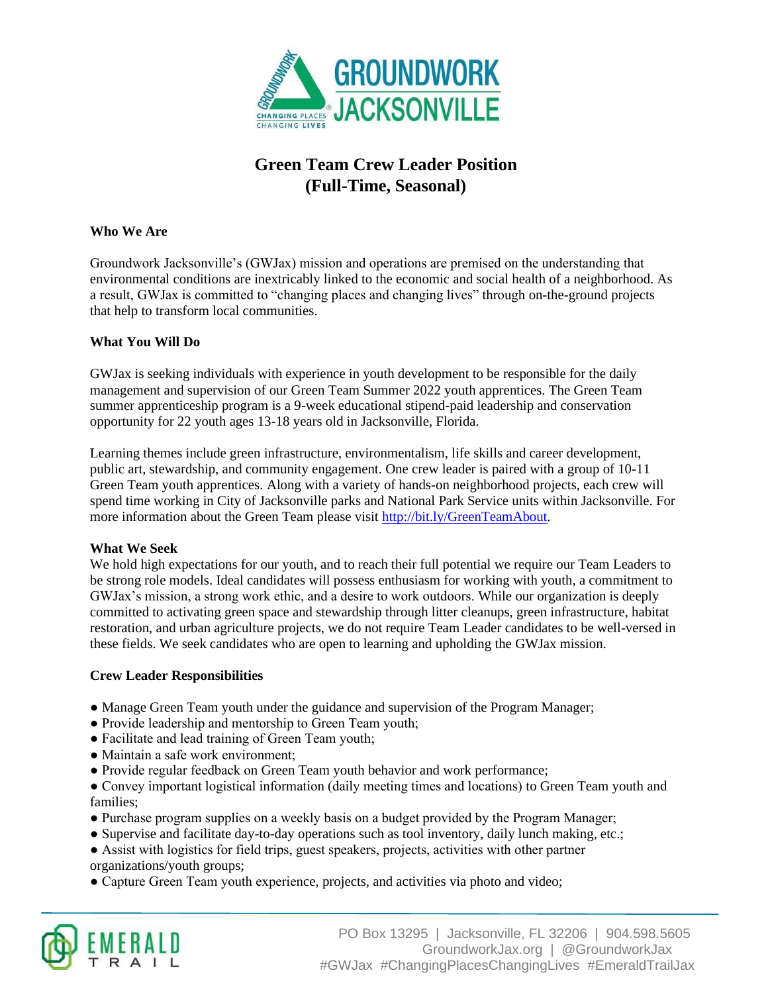

# **Green Team Crew Leader Position (Full-Time, Seasonal)**

# **Who We Are**

Groundwork Jacksonville's (GWJax) mission and operations are premised on the understanding that environmental conditions are inextricably linked to the economic and social health of a neighborhood. As a result, GWJax is committed to "changing places and changing lives" through on-the-ground projects that help to transform local communities.

## **What You Will Do**

GWJax is seeking individuals with experience in youth development to be responsible for the daily management and supervision of our Green Team Summer 2022 youth apprentices. The Green Team summer apprenticeship program is a 9-week educational stipend-paid leadership and conservation opportunity for 22 youth ages 13-18 years old in Jacksonville, Florida.

Learning themes include green infrastructure, environmentalism, life skills and career development, public art, stewardship, and community engagement. One crew leader is paired with a group of 10-11 Green Team youth apprentices. Along with a variety of hands-on neighborhood projects, each crew will spend time working in City of Jacksonville parks and National Park Service units within Jacksonville. For more information about the Green Team please visit [http://bit.ly/GreenTeamAbout.](http://bit.ly/GreenTeamAbout)

#### **What We Seek**

We hold high expectations for our youth, and to reach their full potential we require our Team Leaders to be strong role models. Ideal candidates will possess enthusiasm for working with youth, a commitment to GWJax's mission, a strong work ethic, and a desire to work outdoors. While our organization is deeply committed to activating green space and stewardship through litter cleanups, green infrastructure, habitat restoration, and urban agriculture projects, we do not require Team Leader candidates to be well-versed in these fields. We seek candidates who are open to learning and upholding the GWJax mission.

## **Crew Leader Responsibilities**

- Manage Green Team youth under the guidance and supervision of the Program Manager;
- Provide leadership and mentorship to Green Team youth;
- Facilitate and lead training of Green Team youth;
- Maintain a safe work environment;
- Provide regular feedback on Green Team youth behavior and work performance;
- Convey important logistical information (daily meeting times and locations) to Green Team youth and families;
- Purchase program supplies on a weekly basis on a budget provided by the Program Manager;
- Supervise and facilitate day-to-day operations such as tool inventory, daily lunch making, etc.;
- Assist with logistics for field trips, guest speakers, projects, activities with other partner organizations/youth groups;
- Capture Green Team youth experience, projects, and activities via photo and video;